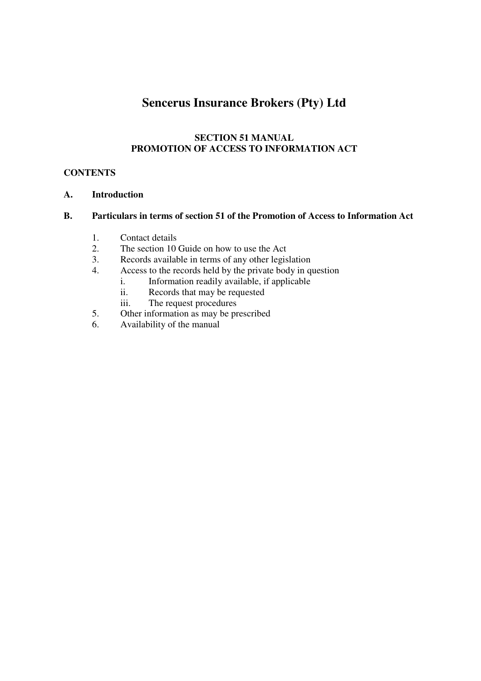# **Sencerus Insurance Brokers (Pty) Ltd**

#### **SECTION 51 MANUAL PROMOTION OF ACCESS TO INFORMATION ACT**

## **CONTENTS**

#### **A. Introduction**

## **B. Particulars in terms of section 51 of the Promotion of Access to Information Act**

- 1. Contact details
- 2. The section 10 Guide on how to use the Act
- 3. Records available in terms of any other legislation
- 4. Access to the records held by the private body in question
	- i. Information readily available, if applicable
	- ii. Records that may be requested
	- iii. The request procedures
- 5. Other information as may be prescribed
- 6. Availability of the manual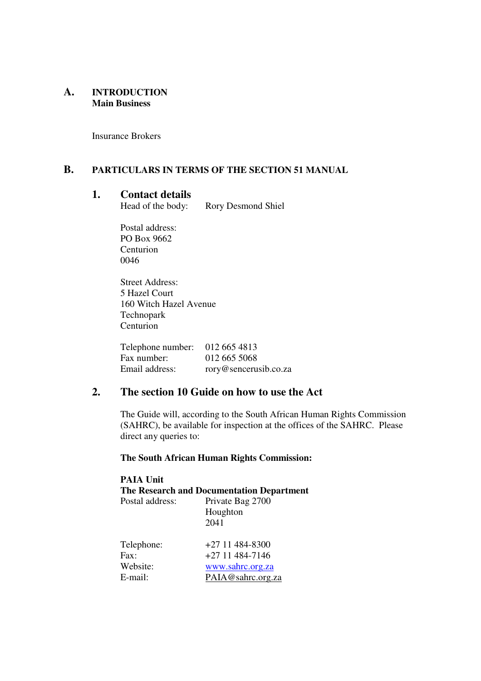#### **A. INTRODUCTION Main Business**

Insurance Brokers

## **B. PARTICULARS IN TERMS OF THE SECTION 51 MANUAL**

# **1. Contact details**

Rory Desmond Shiel

Postal address: PO Box 9662 Centurion 0046

Street Address: 5 Hazel Court 160 Witch Hazel Avenue Technopark Centurion

| Telephone number: $012\,665\,4813$ |                       |
|------------------------------------|-----------------------|
| Fax number:                        | 012 665 5068          |
| Email address:                     | rory@sencerusib.co.za |

## **2. The section 10 Guide on how to use the Act**

The Guide will, according to the South African Human Rights Commission (SAHRC), be available for inspection at the offices of the SAHRC. Please direct any queries to:

#### **The South African Human Rights Commission:**

| <b>PAIA Unit</b>                          |                   |  |
|-------------------------------------------|-------------------|--|
| The Research and Documentation Department |                   |  |
| Postal address:                           | Private Bag 2700  |  |
|                                           | Houghton          |  |
|                                           | 2041              |  |
|                                           |                   |  |
| Telephone:                                | $+27$ 11 484-8300 |  |
| Fax:                                      | $+27$ 11 484-7146 |  |
| Website:                                  | www.sahrc.org.za  |  |
| E-mail:                                   | PAIA@sahrc.org.za |  |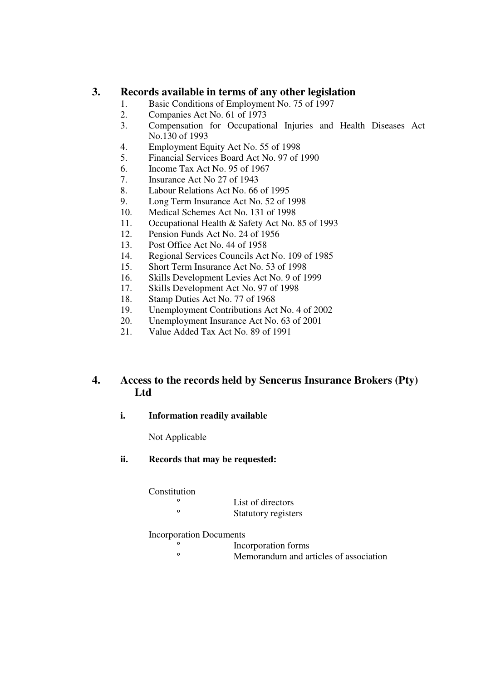## **3. Records available in terms of any other legislation**

- 1. Basic Conditions of Employment No. 75 of 1997
- 2. Companies Act No. 61 of 1973
- 3. Compensation for Occupational Injuries and Health Diseases Act No.130 of 1993
- 4. Employment Equity Act No. 55 of 1998
- 5. Financial Services Board Act No. 97 of 1990
- 6. Income Tax Act No. 95 of 1967
- 7. Insurance Act No 27 of 1943
- 8. Labour Relations Act No. 66 of 1995
- 9. Long Term Insurance Act No. 52 of 1998
- 10. Medical Schemes Act No. 131 of 1998
- 11. Occupational Health & Safety Act No. 85 of 1993
- 12. Pension Funds Act No. 24 of 1956
- 13. Post Office Act No. 44 of 1958
- 14. Regional Services Councils Act No. 109 of 1985
- 15. Short Term Insurance Act No. 53 of 1998
- 16. Skills Development Levies Act No. 9 of 1999
- 17. Skills Development Act No. 97 of 1998
- 18. Stamp Duties Act No. 77 of 1968
- 19. Unemployment Contributions Act No. 4 of 2002
- 20. Unemployment Insurance Act No. 63 of 2001
- 21. Value Added Tax Act No. 89 of 1991

## **4. Access to the records held by Sencerus Insurance Brokers (Pty) Ltd**

**i. Information readily available** 

Not Applicable

**ii. Records that may be requested:** 

Constitution

<sup>o</sup><br>List of directors Statutory registers

#### Incorporation Documents

- <sup>o</sup> Incorporation forms
	- Memorandum and articles of association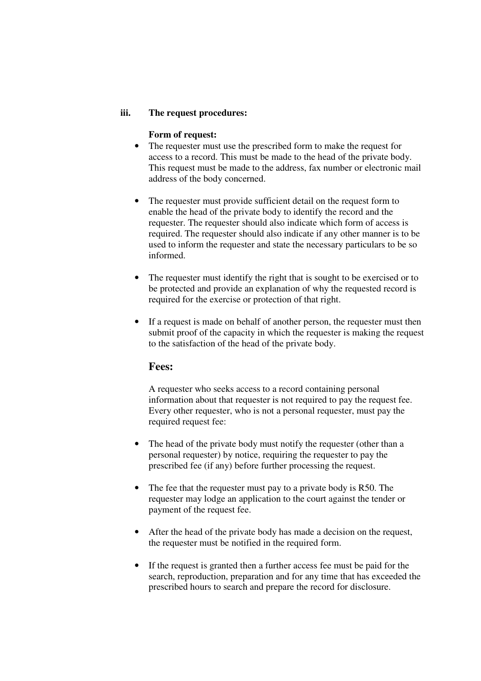#### **iii. The request procedures:**

#### **Form of request:**

- The requester must use the prescribed form to make the request for access to a record. This must be made to the head of the private body. This request must be made to the address, fax number or electronic mail address of the body concerned.
- The requester must provide sufficient detail on the request form to enable the head of the private body to identify the record and the requester. The requester should also indicate which form of access is required. The requester should also indicate if any other manner is to be used to inform the requester and state the necessary particulars to be so informed.
- The requester must identify the right that is sought to be exercised or to be protected and provide an explanation of why the requested record is required for the exercise or protection of that right.
- If a request is made on behalf of another person, the requester must then submit proof of the capacity in which the requester is making the request to the satisfaction of the head of the private body.

#### **Fees:**

A requester who seeks access to a record containing personal information about that requester is not required to pay the request fee. Every other requester, who is not a personal requester, must pay the required request fee:

- The head of the private body must notify the requester (other than a personal requester) by notice, requiring the requester to pay the prescribed fee (if any) before further processing the request.
- The fee that the requester must pay to a private body is R50. The requester may lodge an application to the court against the tender or payment of the request fee.
- After the head of the private body has made a decision on the request, the requester must be notified in the required form.
- If the request is granted then a further access fee must be paid for the search, reproduction, preparation and for any time that has exceeded the prescribed hours to search and prepare the record for disclosure.